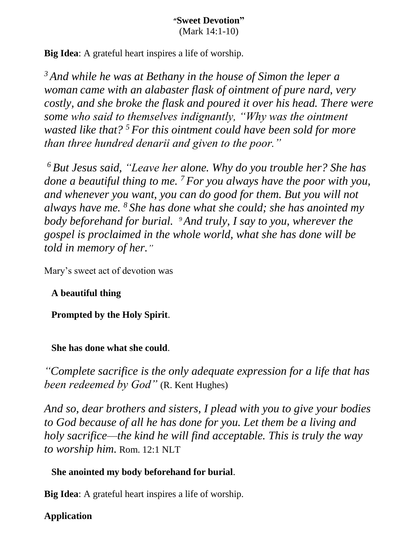**Big Idea**: A grateful heart inspires a life of worship.

*<sup>3</sup> And while he was at Bethany in the house of Simon the leper a woman came with an alabaster flask of ointment of pure nard, very costly, and she broke the flask and poured it over his head. There were some who said to themselves indignantly, "Why was the ointment wasted like that? <sup>5</sup> For this ointment could have been sold for more than three hundred denarii and given to the poor."*

*<sup>6</sup> But Jesus said, "Leave her alone. Why do you trouble her? She has done a beautiful thing to me. <sup>7</sup> For you always have the poor with you, and whenever you want, you can do good for them. But you will not always have me. <sup>8</sup> She has done what she could; she has anointed my body beforehand for burial. 9And truly, I say to you, wherever the gospel is proclaimed in the whole world, what she has done will be told in memory of her."*

Mary's sweet act of devotion was

### **A beautiful thing**

**Prompted by the Holy Spirit**.

 **She has done what she could**.

*"Complete sacrifice is the only adequate expression for a life that has been redeemed by God"* (R. Kent Hughes)

*And so, dear brothers and sisters, I plead with you to give your bodies to God because of all he has done for you. Let them be a living and holy sacrifice—the kind he will find acceptable. This is truly the way to worship him.* Rom. 12:1 NLT

### **She anointed my body beforehand for burial**.

**Big Idea**: A grateful heart inspires a life of worship.

# **Application**